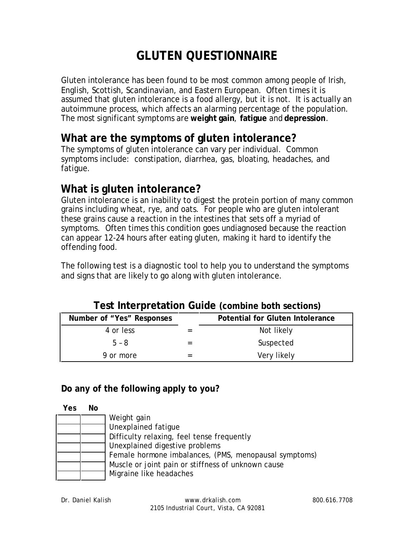# **GLUTEN QUESTIONNAIRE**

Gluten intolerance has been found to be most common among people of Irish, English, Scottish, Scandinavian, and Eastern European. Often times it is assumed that gluten intolerance is a food allergy, but it is not. It is actually an autoimmune process, which affects an alarming percentage of the population. The most significant symptoms are **weight gain**, **fatigue** and **depression**.

## **What are the symptoms of gluten intolerance?**

The symptoms of gluten intolerance can vary per individual. Common symptoms include: constipation, diarrhea, gas, bloating, headaches, and fatigue.

### **What is gluten intolerance?**

Gluten intolerance is an inability to digest the protein portion of many common grains including wheat, rye, and oats. For people who are gluten intolerant these grains cause a reaction in the intestines that sets off a myriad of symptoms. Often times this condition goes undiagnosed because the reaction can appear 12-24 hours after eating gluten, making it hard to identify the offending food.

The following test is a diagnostic tool to help you to understand the symptoms and signs that are likely to go along with gluten intolerance.

| Post into protation caracterismic sources is |  |                                  |  |  |  |  |
|----------------------------------------------|--|----------------------------------|--|--|--|--|
| Number of "Yes" Responses                    |  | Potential for Gluten Intolerance |  |  |  |  |
| 4 or less                                    |  | Not likely                       |  |  |  |  |
| $5 - 8$                                      |  | Suspected                        |  |  |  |  |
| 9 or more                                    |  | Very likely                      |  |  |  |  |

#### **Test Interpretation Guide (combine both sections)**

**Do any of the following apply to you?**

| Yes | No. |                                                       |
|-----|-----|-------------------------------------------------------|
|     |     | Weight gain                                           |
|     |     | Unexplained fatique                                   |
|     |     | Difficulty relaxing, feel tense frequently            |
|     |     | Unexplained digestive problems                        |
|     |     | Female hormone imbalances, (PMS, menopausal symptoms) |
|     |     | Muscle or joint pain or stiffness of unknown cause    |
|     |     | Migraine like headaches                               |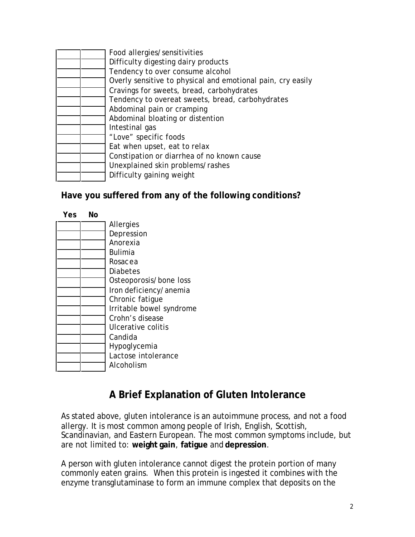|  | Food allergies/sensitivities                                |
|--|-------------------------------------------------------------|
|  | Difficulty digesting dairy products                         |
|  | Tendency to over consume alcohol                            |
|  | Overly sensitive to physical and emotional pain, cry easily |
|  | Cravings for sweets, bread, carbohydrates                   |
|  | Tendency to overeat sweets, bread, carbohydrates            |
|  | Abdominal pain or cramping                                  |
|  | Abdominal bloating or distention                            |
|  | Intestinal gas                                              |
|  | "Love" specific foods                                       |
|  | Eat when upset, eat to relax                                |
|  | Constipation or diarrhea of no known cause                  |
|  | Unexplained skin problems/rashes                            |
|  | Difficulty gaining weight                                   |

**Have you suffered from any of the following conditions?**

| Yes. | Νo |                          |
|------|----|--------------------------|
|      |    | Allergies                |
|      |    | Depression               |
|      |    | Anorexia                 |
|      |    | Bulimia                  |
|      |    | Rosacea                  |
|      |    | Diabetes                 |
|      |    | Osteoporosis/bone loss   |
|      |    | Iron deficiency/anemia   |
|      |    | Chronic fatique          |
|      |    | Irritable bowel syndrome |
|      |    | Crohn's disease          |
|      |    | Ulcerative colitis       |
|      |    | Candida                  |
|      |    | Hypoglycemia             |
|      |    | Lactose intolerance      |
|      |    | Alcoholism               |

# **A Brief Explanation of Gluten Intolerance**

As stated above, gluten intolerance is an autoimmune process, and not a food allergy. It is most common among people of Irish, English, Scottish, Scandinavian, and Eastern European. The most common symptoms include, but are not limited to: **weight gain**, **fatigue** and **depression**.

A person with gluten intolerance cannot digest the protein portion of many commonly eaten grains. When this protein is ingested it combines with the enzyme transglutaminase to form an immune complex that deposits on the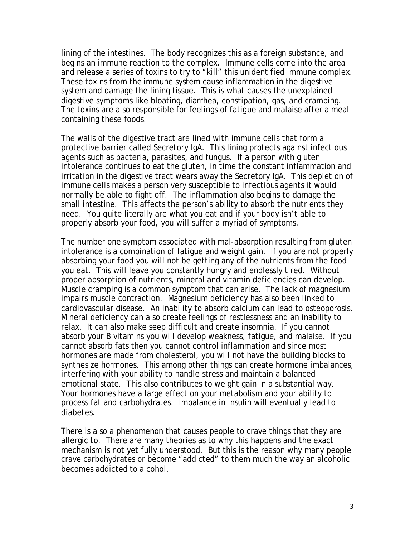lining of the intestines. The body recognizes this as a foreign substance, and begins an immune reaction to the complex. Immune cells come into the area and release a series of toxins to try to "kill" this unidentified immune complex. These toxins from the immune system cause inflammation in the digestive system and damage the lining tissue. This is what causes the unexplained digestive symptoms like bloating, diarrhea, constipation, gas, and cramping. The toxins are also responsible for feelings of fatigue and malaise after a meal containing these foods.

The walls of the digestive tract are lined with immune cells that form a protective barrier called Secretory IgA. This lining protects against infectious agents such as bacteria, parasites, and fungus. If a person with gluten intolerance continues to eat the gluten, in time the constant inflammation and irritation in the digestive tract wears away the Secretory IgA. This depletion of immune cells makes a person very susceptible to infectious agents it would normally be able to fight off. The inflammation also begins to damage the small intestine. This affects the person's ability to absorb the nutrients they need. You quite literally are what you eat and if your body isn't able to properly absorb your food, you will suffer a myriad of symptoms.

The number one symptom associated with mal-absorption resulting from gluten intolerance is a combination of fatigue and weight gain. If you are not properly absorbing your food you will not be getting any of the nutrients from the food you eat. This will leave you constantly hungry and endlessly tired. Without proper absorption of nutrients, mineral and vitamin deficiencies can develop. Muscle cramping is a common symptom that can arise. The lack of magnesium impairs muscle contraction. Magnesium deficiency has also been linked to cardiovascular disease. An inability to absorb calcium can lead to osteoporosis. Mineral deficiency can also create feelings of restlessness and an inability to relax. It can also make seep difficult and create insomnia. If you cannot absorb your B vitamins you will develop weakness, fatigue, and malaise. If you cannot absorb fats then you cannot control inflammation and since most hormones are made from cholesterol, you will not have the building blocks to synthesize hormones. This among other things can create hormone imbalances, interfering with your ability to handle stress and maintain a balanced emotional state. This also contributes to weight gain in a substantial way. Your hormones have a large effect on your metabolism and your ability to process fat and carbohydrates. Imbalance in insulin will eventually lead to diabetes.

There is also a phenomenon that causes people to crave things that they are allergic to. There are many theories as to why this happens and the exact mechanism is not yet fully understood. But this is the reason why many people crave carbohydrates or become "addicted" to them much the way an alcoholic becomes addicted to alcohol.